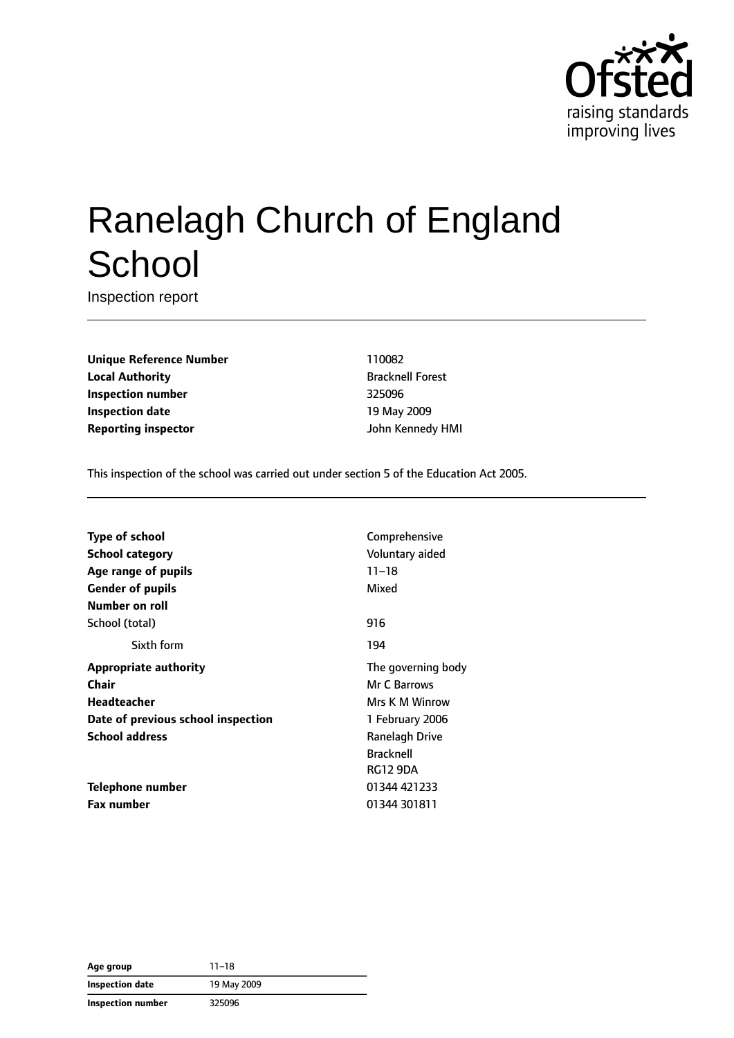

# Ranelagh Church of England **School**

Inspection report

**Unique Reference Number** 110082 **Local Authority Bracknell Forest Inspection number** 325096 **Inspection date** 19 May 2009 **Reporting inspector** John Kennedy HMI

This inspection of the school was carried out under section 5 of the Education Act 2005.

| Type of school                     | Comprehensive      |
|------------------------------------|--------------------|
| <b>School category</b>             | Voluntary aided    |
| Age range of pupils                | $11 - 18$          |
| <b>Gender of pupils</b>            | Mixed              |
| Number on roll                     |                    |
| School (total)                     | 916                |
| Sixth form                         | 194                |
| <b>Appropriate authority</b>       | The governing body |
| Chair                              | Mr C Barrows       |
| <b>Headteacher</b>                 | Mrs K M Winrow     |
| Date of previous school inspection | 1 February 2006    |
| <b>School address</b>              | Ranelagh Drive     |
|                                    | <b>Bracknell</b>   |
|                                    | RG12 9DA           |
| Telephone number                   | 01344 421233       |
| <b>Fax number</b>                  | 01344 301811       |

**Age group** 11–18 **Inspection date** 19 May 2009 **Inspection number** 325096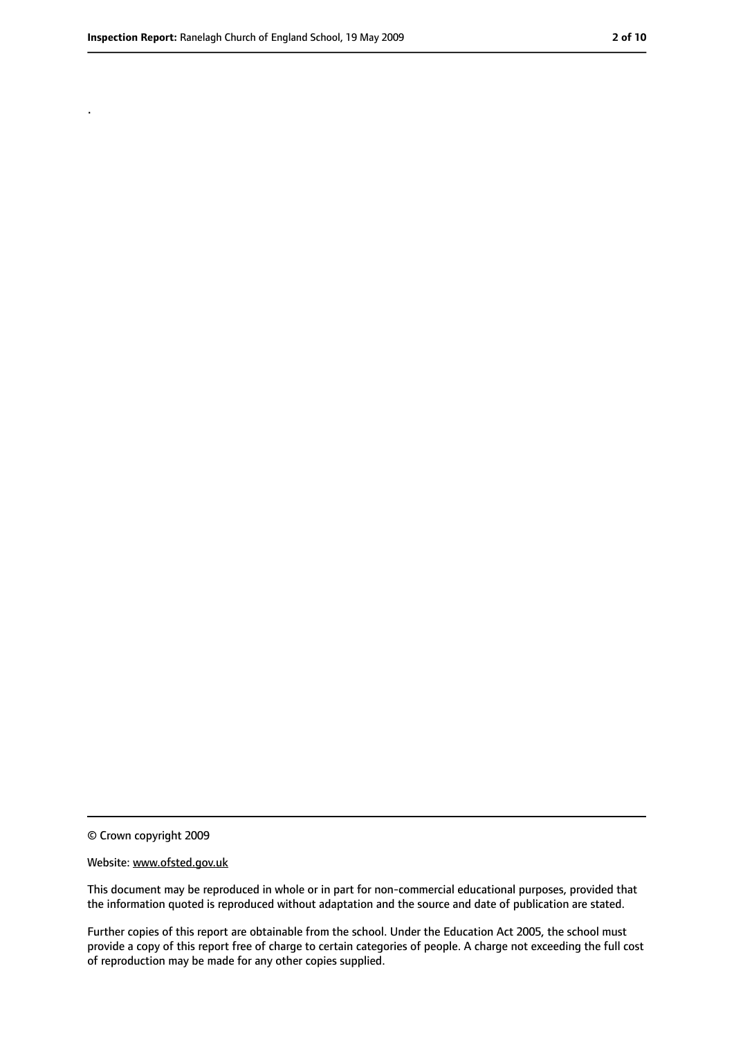.

<sup>©</sup> Crown copyright 2009

Website: www.ofsted.gov.uk

This document may be reproduced in whole or in part for non-commercial educational purposes, provided that the information quoted is reproduced without adaptation and the source and date of publication are stated.

Further copies of this report are obtainable from the school. Under the Education Act 2005, the school must provide a copy of this report free of charge to certain categories of people. A charge not exceeding the full cost of reproduction may be made for any other copies supplied.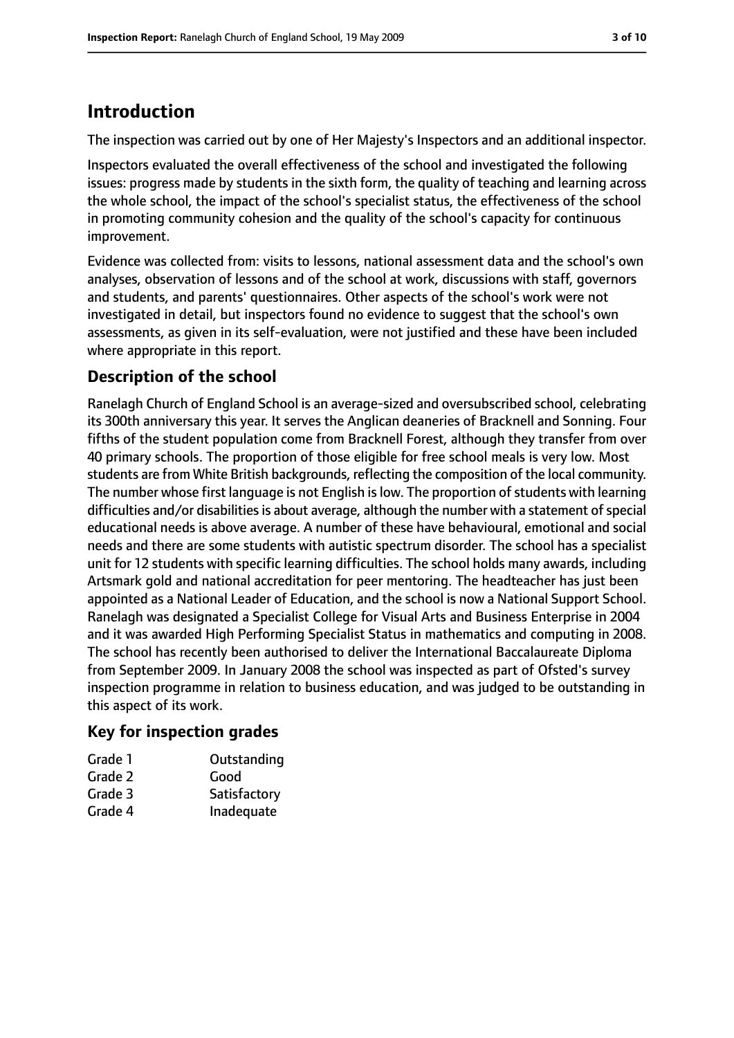## **Introduction**

The inspection was carried out by one of Her Majesty's Inspectors and an additional inspector.

Inspectors evaluated the overall effectiveness of the school and investigated the following issues: progress made by students in the sixth form, the quality of teaching and learning across the whole school, the impact of the school's specialist status, the effectiveness of the school in promoting community cohesion and the quality of the school's capacity for continuous improvement.

Evidence was collected from: visits to lessons, national assessment data and the school's own analyses, observation of lessons and of the school at work, discussions with staff, governors and students, and parents' questionnaires. Other aspects of the school's work were not investigated in detail, but inspectors found no evidence to suggest that the school's own assessments, as given in its self-evaluation, were not justified and these have been included where appropriate in this report.

## **Description of the school**

Ranelagh Church of England School is an average-sized and oversubscribed school, celebrating its 300th anniversary this year. It serves the Anglican deaneries of Bracknell and Sonning. Four fifths of the student population come from Bracknell Forest, although they transfer from over 40 primary schools. The proportion of those eligible for free school meals is very low. Most students are from White British backgrounds, reflecting the composition of the local community. The number whose first language is not English is low. The proportion of students with learning difficulties and/or disabilities is about average, although the number with a statement of special educational needs is above average. A number of these have behavioural, emotional and social needs and there are some students with autistic spectrum disorder. The school has a specialist unit for 12 students with specific learning difficulties. The school holds many awards, including Artsmark gold and national accreditation for peer mentoring. The headteacher has just been appointed as a National Leader of Education, and the school is now a National Support School. Ranelagh was designated a Specialist College for Visual Arts and Business Enterprise in 2004 and it was awarded High Performing Specialist Status in mathematics and computing in 2008. The school has recently been authorised to deliver the International Baccalaureate Diploma from September 2009. In January 2008 the school was inspected as part of Ofsted's survey inspection programme in relation to business education, and was judged to be outstanding in this aspect of its work.

#### **Key for inspection grades**

| Grade 1 | Outstanding  |
|---------|--------------|
| Grade 2 | Good         |
| Grade 3 | Satisfactory |
| Grade 4 | Inadequate   |
|         |              |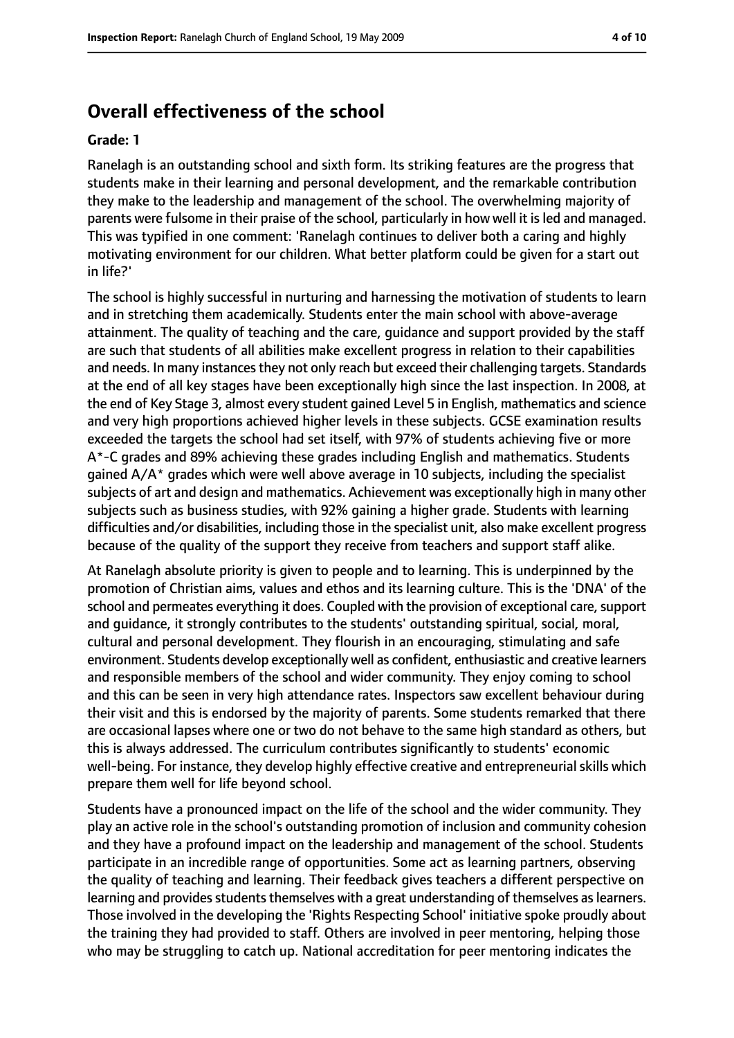## **Overall effectiveness of the school**

#### **Grade: 1**

Ranelagh is an outstanding school and sixth form. Its striking features are the progress that students make in their learning and personal development, and the remarkable contribution they make to the leadership and management of the school. The overwhelming majority of parents were fulsome in their praise of the school, particularly in how well it is led and managed. This was typified in one comment: 'Ranelagh continues to deliver both a caring and highly motivating environment for our children. What better platform could be given for a start out in life?'

The school is highly successful in nurturing and harnessing the motivation of students to learn and in stretching them academically. Students enter the main school with above-average attainment. The quality of teaching and the care, guidance and support provided by the staff are such that students of all abilities make excellent progress in relation to their capabilities and needs. In many instances they not only reach but exceed their challenging targets. Standards at the end of all key stages have been exceptionally high since the last inspection. In 2008, at the end of Key Stage 3, almost every student gained Level 5 in English, mathematics and science and very high proportions achieved higher levels in these subjects. GCSE examination results exceeded the targets the school had set itself, with 97% of students achieving five or more A\*-C grades and 89% achieving these grades including English and mathematics. Students gained A/A\* grades which were well above average in 10 subjects, including the specialist subjects of art and design and mathematics. Achievement was exceptionally high in many other subjects such as business studies, with 92% gaining a higher grade. Students with learning difficulties and/or disabilities, including those in the specialist unit, also make excellent progress because of the quality of the support they receive from teachers and support staff alike.

At Ranelagh absolute priority is given to people and to learning. This is underpinned by the promotion of Christian aims, values and ethos and its learning culture. This is the 'DNA' of the school and permeates everything it does. Coupled with the provision of exceptional care, support and guidance, it strongly contributes to the students' outstanding spiritual, social, moral, cultural and personal development. They flourish in an encouraging, stimulating and safe environment. Students develop exceptionally well as confident, enthusiastic and creative learners and responsible members of the school and wider community. They enjoy coming to school and this can be seen in very high attendance rates. Inspectors saw excellent behaviour during their visit and this is endorsed by the majority of parents. Some students remarked that there are occasional lapses where one or two do not behave to the same high standard as others, but this is always addressed. The curriculum contributes significantly to students' economic well-being. For instance, they develop highly effective creative and entrepreneurial skills which prepare them well for life beyond school.

Students have a pronounced impact on the life of the school and the wider community. They play an active role in the school's outstanding promotion of inclusion and community cohesion and they have a profound impact on the leadership and management of the school. Students participate in an incredible range of opportunities. Some act as learning partners, observing the quality of teaching and learning. Their feedback gives teachers a different perspective on learning and provides students themselves with a great understanding of themselves as learners. Those involved in the developing the 'Rights Respecting School' initiative spoke proudly about the training they had provided to staff. Others are involved in peer mentoring, helping those who may be struggling to catch up. National accreditation for peer mentoring indicates the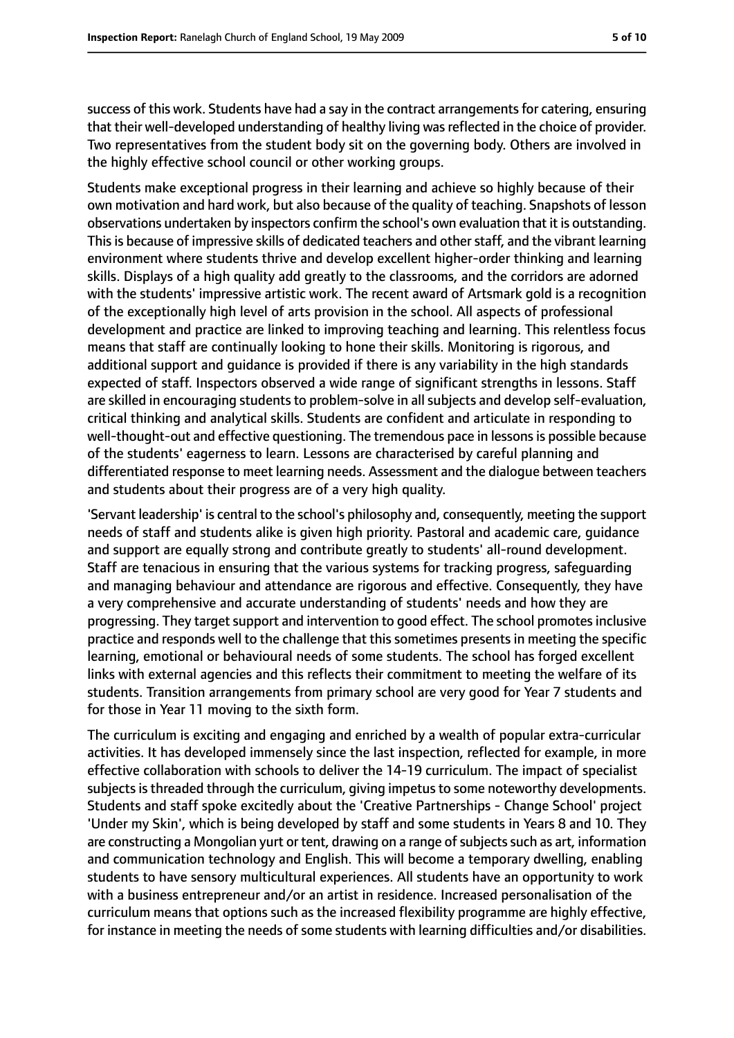success of this work. Students have had a say in the contract arrangements for catering, ensuring that their well-developed understanding of healthy living was reflected in the choice of provider. Two representatives from the student body sit on the governing body. Others are involved in the highly effective school council or other working groups.

Students make exceptional progress in their learning and achieve so highly because of their own motivation and hard work, but also because of the quality of teaching. Snapshots of lesson observations undertaken by inspectors confirm the school's own evaluation that it is outstanding. This is because of impressive skills of dedicated teachers and other staff, and the vibrant learning environment where students thrive and develop excellent higher-order thinking and learning skills. Displays of a high quality add greatly to the classrooms, and the corridors are adorned with the students' impressive artistic work. The recent award of Artsmark gold is a recognition of the exceptionally high level of arts provision in the school. All aspects of professional development and practice are linked to improving teaching and learning. This relentless focus means that staff are continually looking to hone their skills. Monitoring is rigorous, and additional support and guidance is provided if there is any variability in the high standards expected of staff. Inspectors observed a wide range of significant strengths in lessons. Staff are skilled in encouraging students to problem-solve in all subjects and develop self-evaluation, critical thinking and analytical skills. Students are confident and articulate in responding to well-thought-out and effective questioning. The tremendous pace in lessons is possible because of the students' eagerness to learn. Lessons are characterised by careful planning and differentiated response to meet learning needs. Assessment and the dialogue between teachers and students about their progress are of a very high quality.

'Servant leadership' is central to the school's philosophy and, consequently, meeting the support needs of staff and students alike is given high priority. Pastoral and academic care, guidance and support are equally strong and contribute greatly to students' all-round development. Staff are tenacious in ensuring that the various systems for tracking progress, safeguarding and managing behaviour and attendance are rigorous and effective. Consequently, they have a very comprehensive and accurate understanding of students' needs and how they are progressing. They target support and intervention to good effect. The school promotes inclusive practice and responds well to the challenge that this sometimes presents in meeting the specific learning, emotional or behavioural needs of some students. The school has forged excellent links with external agencies and this reflects their commitment to meeting the welfare of its students. Transition arrangements from primary school are very good for Year 7 students and for those in Year 11 moving to the sixth form.

The curriculum is exciting and engaging and enriched by a wealth of popular extra-curricular activities. It has developed immensely since the last inspection, reflected for example, in more effective collaboration with schools to deliver the 14-19 curriculum. The impact of specialist subjects is threaded through the curriculum, giving impetus to some noteworthy developments. Students and staff spoke excitedly about the 'Creative Partnerships - Change School' project 'Under my Skin', which is being developed by staff and some students in Years 8 and 10. They are constructing a Mongolian yurt or tent, drawing on a range of subjects such as art, information and communication technology and English. This will become a temporary dwelling, enabling students to have sensory multicultural experiences. All students have an opportunity to work with a business entrepreneur and/or an artist in residence. Increased personalisation of the curriculum means that options such as the increased flexibility programme are highly effective, for instance in meeting the needs of some students with learning difficulties and/or disabilities.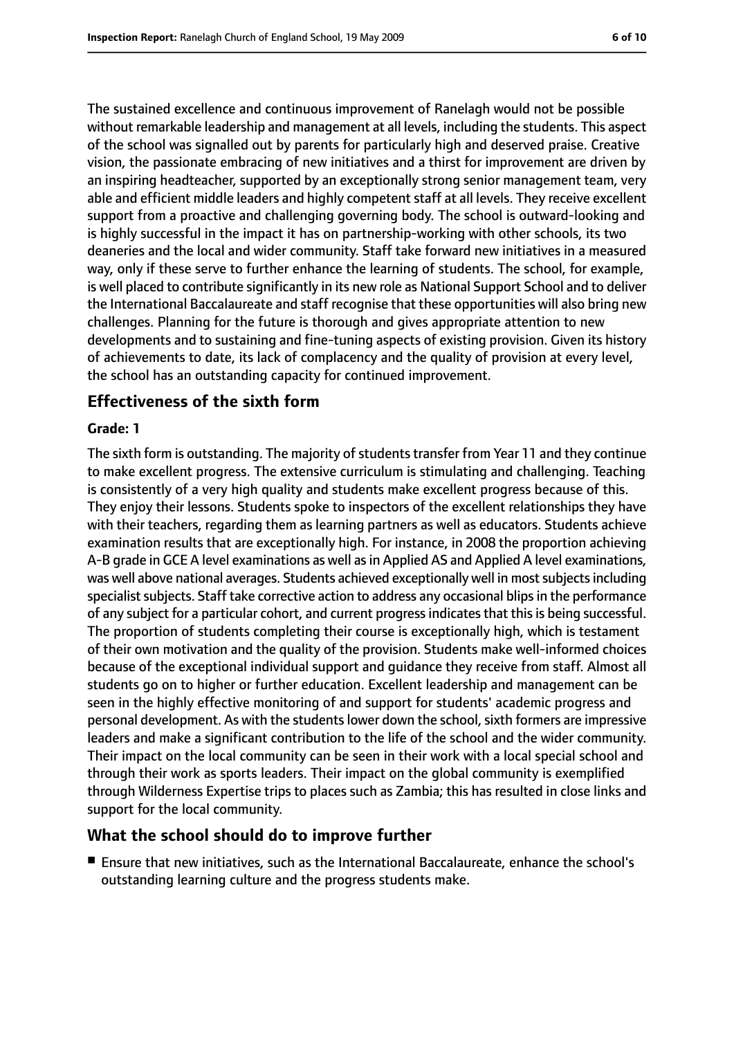The sustained excellence and continuous improvement of Ranelagh would not be possible without remarkable leadership and management at all levels, including the students. This aspect of the school was signalled out by parents for particularly high and deserved praise. Creative vision, the passionate embracing of new initiatives and a thirst for improvement are driven by an inspiring headteacher, supported by an exceptionally strong senior management team, very able and efficient middle leaders and highly competent staff at all levels. They receive excellent support from a proactive and challenging governing body. The school is outward-looking and is highly successful in the impact it has on partnership-working with other schools, its two deaneries and the local and wider community. Staff take forward new initiatives in a measured way, only if these serve to further enhance the learning of students. The school, for example, is well placed to contribute significantly in its new role as National Support School and to deliver the International Baccalaureate and staff recognise that these opportunities will also bring new challenges. Planning for the future is thorough and gives appropriate attention to new developments and to sustaining and fine-tuning aspects of existing provision. Given its history of achievements to date, its lack of complacency and the quality of provision at every level, the school has an outstanding capacity for continued improvement.

#### **Effectiveness of the sixth form**

#### **Grade: 1**

The sixth form is outstanding. The majority of students transfer from Year 11 and they continue to make excellent progress. The extensive curriculum is stimulating and challenging. Teaching is consistently of a very high quality and students make excellent progress because of this. They enjoy their lessons. Students spoke to inspectors of the excellent relationships they have with their teachers, regarding them as learning partners as well as educators. Students achieve examination results that are exceptionally high. For instance, in 2008 the proportion achieving A-B grade in GCE A level examinations as well as in Applied AS and Applied A level examinations, was well above national averages. Students achieved exceptionally well in most subjects including specialist subjects. Staff take corrective action to address any occasional blips in the performance of any subject for a particular cohort, and current progress indicates that this is being successful. The proportion of students completing their course is exceptionally high, which is testament of their own motivation and the quality of the provision. Students make well-informed choices because of the exceptional individual support and guidance they receive from staff. Almost all students go on to higher or further education. Excellent leadership and management can be seen in the highly effective monitoring of and support for students' academic progress and personal development. As with the students lower down the school, sixth formers are impressive leaders and make a significant contribution to the life of the school and the wider community. Their impact on the local community can be seen in their work with a local special school and through their work as sports leaders. Their impact on the global community is exemplified through Wilderness Expertise trips to places such as Zambia; this has resulted in close links and support for the local community.

#### **What the school should do to improve further**

■ Ensure that new initiatives, such as the International Baccalaureate, enhance the school's outstanding learning culture and the progress students make.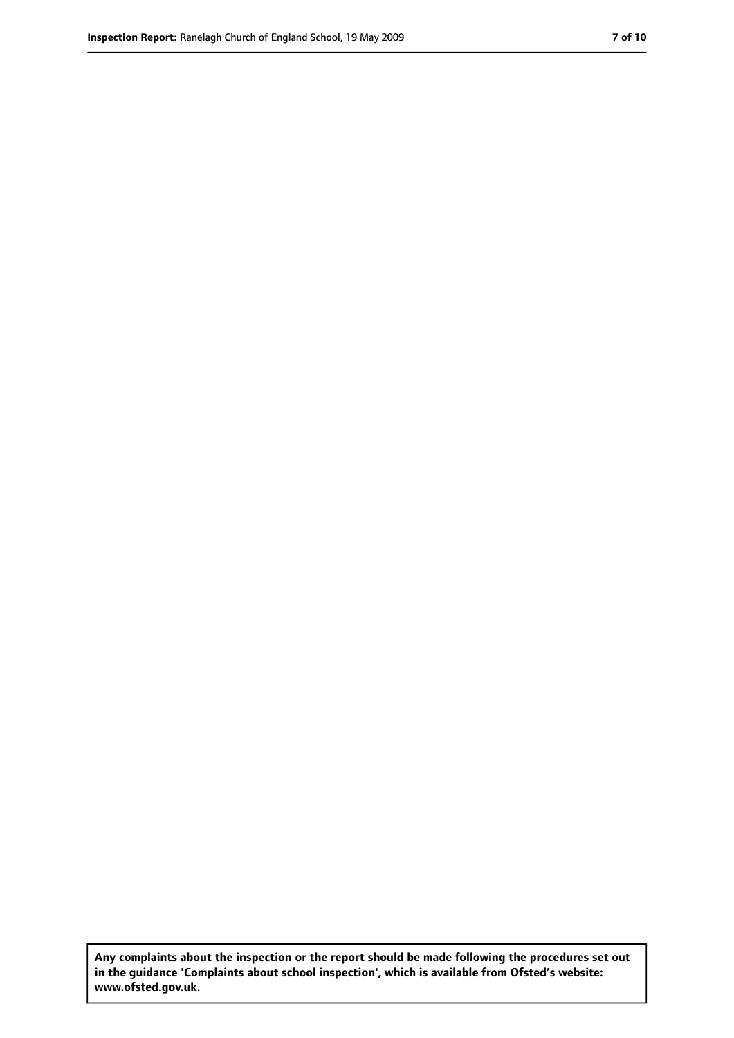**Any complaints about the inspection or the report should be made following the procedures set out in the guidance 'Complaints about school inspection', which is available from Ofsted's website: www.ofsted.gov.uk.**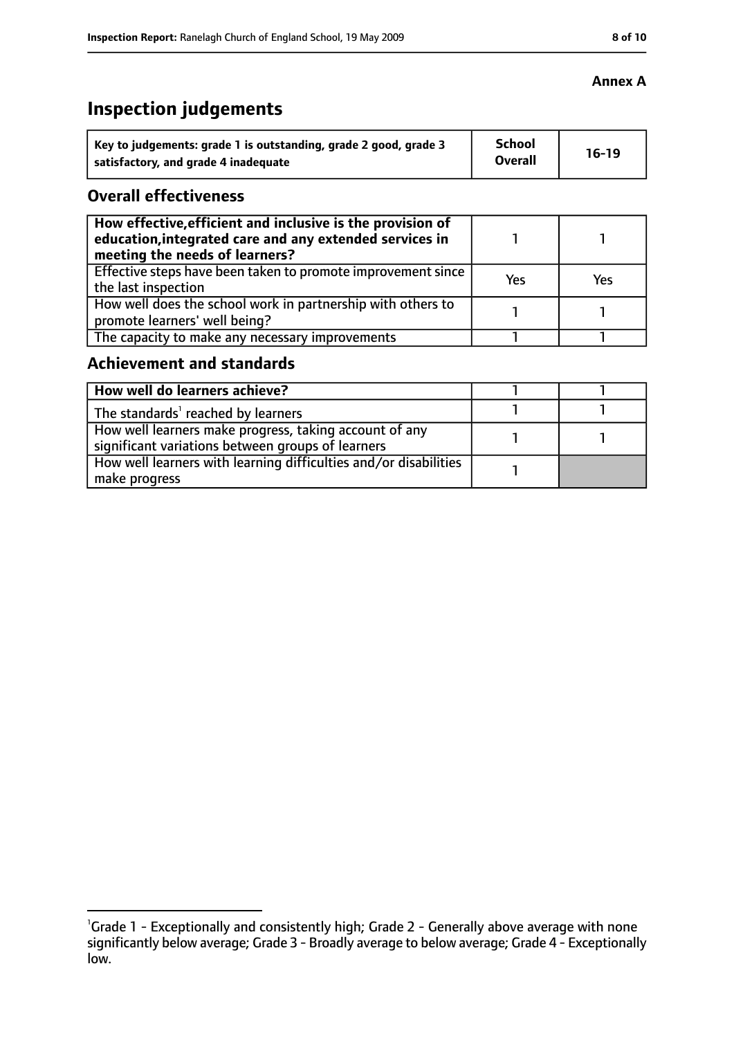# **Inspection judgements**

| Key to judgements: grade 1 is outstanding, grade 2 good, grade 3 | School         | $16-19$ |
|------------------------------------------------------------------|----------------|---------|
| satisfactory, and grade 4 inadequate                             | <b>Overall</b> |         |

#### **Overall effectiveness**

| How effective, efficient and inclusive is the provision of<br>education, integrated care and any extended services in<br>meeting the needs of learners? |     |     |
|---------------------------------------------------------------------------------------------------------------------------------------------------------|-----|-----|
| Effective steps have been taken to promote improvement since<br>the last inspection                                                                     | Yes | Yes |
| How well does the school work in partnership with others to<br>promote learners' well being?                                                            |     |     |
| The capacity to make any necessary improvements                                                                                                         |     |     |

#### **Achievement and standards**

| How well do learners achieve?                                                                               |  |
|-------------------------------------------------------------------------------------------------------------|--|
| The standards <sup>1</sup> reached by learners                                                              |  |
| How well learners make progress, taking account of any<br>significant variations between groups of learners |  |
| How well learners with learning difficulties and/or disabilities<br>make progress                           |  |

#### **Annex A**

<sup>&</sup>lt;sup>1</sup>Grade 1 - Exceptionally and consistently high; Grade 2 - Generally above average with none significantly below average; Grade 3 - Broadly average to below average; Grade 4 - Exceptionally low.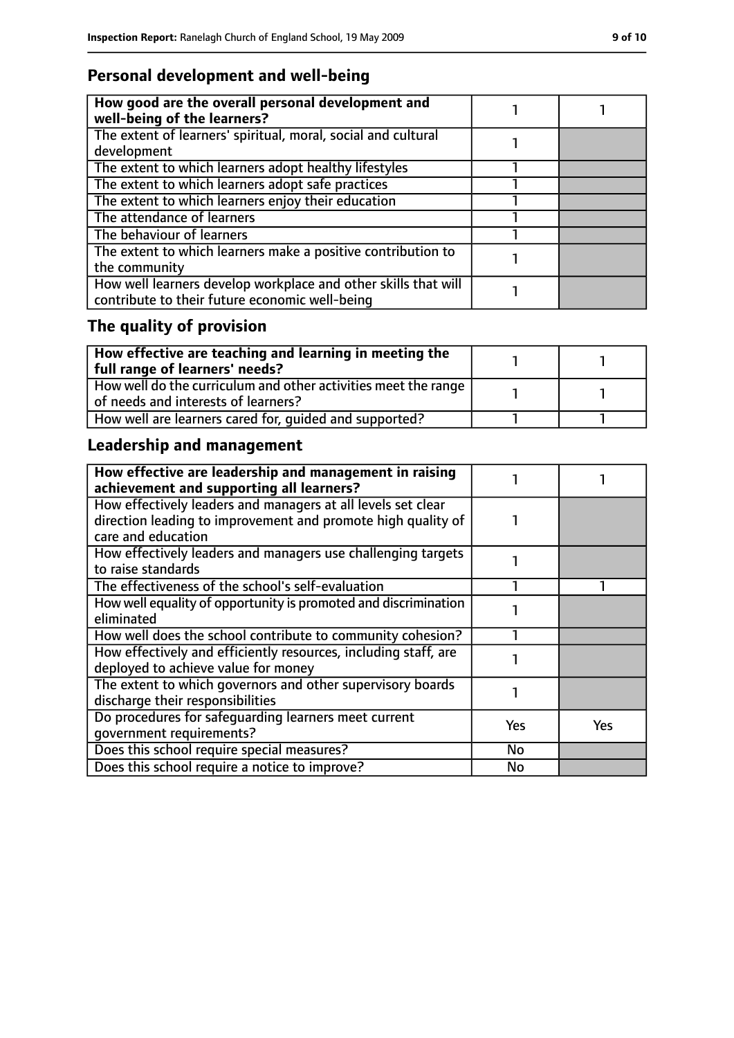## **Personal development and well-being**

| How good are the overall personal development and<br>well-being of the learners?                                 |  |
|------------------------------------------------------------------------------------------------------------------|--|
| The extent of learners' spiritual, moral, social and cultural<br>development                                     |  |
| The extent to which learners adopt healthy lifestyles                                                            |  |
| The extent to which learners adopt safe practices                                                                |  |
| The extent to which learners enjoy their education                                                               |  |
| The attendance of learners                                                                                       |  |
| The behaviour of learners                                                                                        |  |
| The extent to which learners make a positive contribution to<br>the community                                    |  |
| How well learners develop workplace and other skills that will<br>contribute to their future economic well-being |  |

# **The quality of provision**

| $\mid$ How effective are teaching and learning in meeting the<br>full range of learners' needs?       |  |
|-------------------------------------------------------------------------------------------------------|--|
| How well do the curriculum and other activities meet the range<br>of needs and interests of learners? |  |
| How well are learners cared for, quided and supported?                                                |  |

# **Leadership and management**

| How effective are leadership and management in raising<br>achievement and supporting all learners? |           |     |
|----------------------------------------------------------------------------------------------------|-----------|-----|
| How effectively leaders and managers at all levels set clear                                       |           |     |
| direction leading to improvement and promote high quality of                                       |           |     |
| care and education                                                                                 |           |     |
| How effectively leaders and managers use challenging targets                                       |           |     |
| to raise standards                                                                                 |           |     |
| The effectiveness of the school's self-evaluation                                                  |           |     |
| How well equality of opportunity is promoted and discrimination                                    |           |     |
| eliminated                                                                                         |           |     |
| How well does the school contribute to community cohesion?                                         |           |     |
| How effectively and efficiently resources, including staff, are                                    |           |     |
| deployed to achieve value for money                                                                |           |     |
| The extent to which governors and other supervisory boards                                         |           |     |
| discharge their responsibilities                                                                   |           |     |
| Do procedures for safequarding learners meet current                                               | Yes       | Yes |
| qovernment requirements?                                                                           |           |     |
| Does this school require special measures?                                                         | <b>No</b> |     |
| Does this school require a notice to improve?                                                      | No        |     |